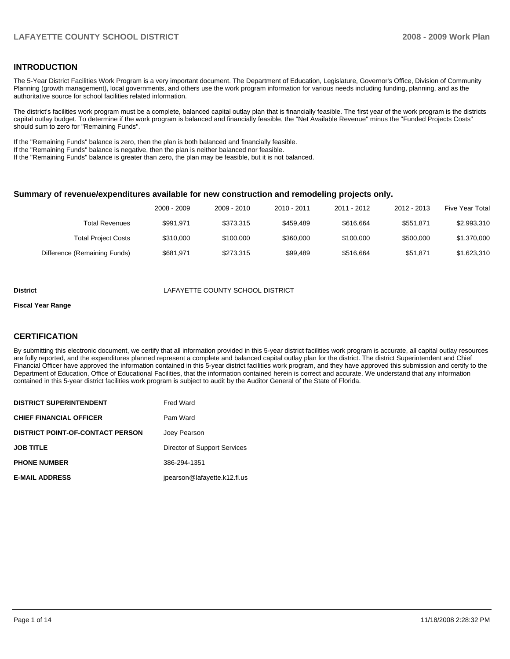## **INTRODUCTION**

The 5-Year District Facilities Work Program is a very important document. The Department of Education, Legislature, Governor's Office, Division of Community Planning (growth management), local governments, and others use the work program information for various needs including funding, planning, and as the authoritative source for school facilities related information.

The district's facilities work program must be a complete, balanced capital outlay plan that is financially feasible. The first year of the work program is the districts capital outlay budget. To determine if the work program is balanced and financially feasible, the "Net Available Revenue" minus the "Funded Projects Costs" should sum to zero for "Remaining Funds".

If the "Remaining Funds" balance is zero, then the plan is both balanced and financially feasible.

If the "Remaining Funds" balance is negative, then the plan is neither balanced nor feasible.

If the "Remaining Funds" balance is greater than zero, the plan may be feasible, but it is not balanced.

#### **Summary of revenue/expenditures available for new construction and remodeling projects only.**

|                              | 2008 - 2009 | 2009 - 2010 | 2010 - 2011 | 2011 - 2012 | 2012 - 2013 | Five Year Total |
|------------------------------|-------------|-------------|-------------|-------------|-------------|-----------------|
| <b>Total Revenues</b>        | \$991.971   | \$373.315   | \$459.489   | \$616,664   | \$551.871   | \$2,993,310     |
| <b>Total Project Costs</b>   | \$310,000   | \$100,000   | \$360,000   | \$100,000   | \$500,000   | \$1,370,000     |
| Difference (Remaining Funds) | \$681.971   | \$273,315   | \$99.489    | \$516,664   | \$51.871    | \$1,623,310     |

#### **District** LAFAYETTE COUNTY SCHOOL DISTRICT

#### **Fiscal Year Range**

## **CERTIFICATION**

By submitting this electronic document, we certify that all information provided in this 5-year district facilities work program is accurate, all capital outlay resources are fully reported, and the expenditures planned represent a complete and balanced capital outlay plan for the district. The district Superintendent and Chief Financial Officer have approved the information contained in this 5-year district facilities work program, and they have approved this submission and certify to the Department of Education, Office of Educational Facilities, that the information contained herein is correct and accurate. We understand that any information contained in this 5-year district facilities work program is subject to audit by the Auditor General of the State of Florida.

| <b>DISTRICT SUPERINTENDENT</b>          | <b>Fred Ward</b>             |
|-----------------------------------------|------------------------------|
| <b>CHIEF FINANCIAL OFFICER</b>          | Pam Ward                     |
| <b>DISTRICT POINT-OF-CONTACT PERSON</b> | Joey Pearson                 |
| <b>JOB TITLE</b>                        | Director of Support Services |
| <b>PHONE NUMBER</b>                     | 386-294-1351                 |
| <b>E-MAIL ADDRESS</b>                   | jpearson@lafayette.k12.fl.us |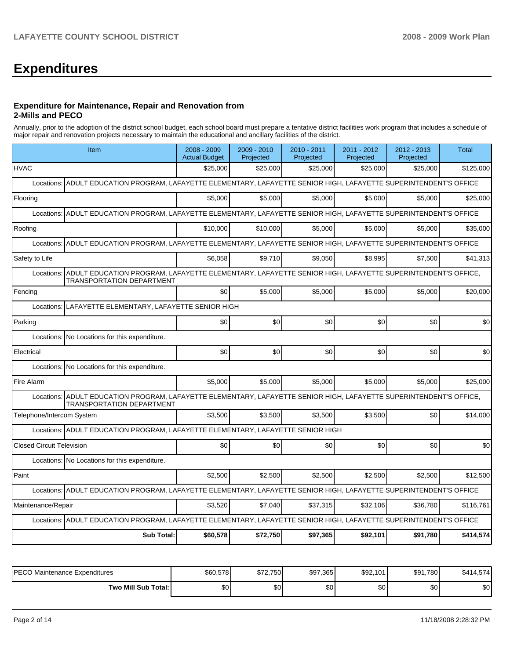# **Expenditures**

#### **Expenditure for Maintenance, Repair and Renovation from 2-Mills and PECO**

Annually, prior to the adoption of the district school budget, each school board must prepare a tentative district facilities work program that includes a schedule of major repair and renovation projects necessary to maintain the educational and ancillary facilities of the district.

| Item                                                                                                                                                    | 2008 - 2009<br><b>Actual Budget</b> | 2009 - 2010<br>Projected | 2010 - 2011<br>Projected | 2011 - 2012<br>Projected | $2012 - 2013$<br>Projected | <b>Total</b> |
|---------------------------------------------------------------------------------------------------------------------------------------------------------|-------------------------------------|--------------------------|--------------------------|--------------------------|----------------------------|--------------|
| <b>HVAC</b>                                                                                                                                             | \$25,000                            | \$25,000                 | \$25,000                 | \$25,000                 | \$25,000                   | \$125,000    |
| Locations: ADULT EDUCATION PROGRAM, LAFAYETTE ELEMENTARY, LAFAYETTE SENIOR HIGH, LAFAYETTE SUPERINTENDENT'S OFFICE                                      |                                     |                          |                          |                          |                            |              |
| Flooring                                                                                                                                                | \$5,000                             | \$5,000                  | \$5,000                  | \$5,000                  | \$5,000                    | \$25,000     |
| Locations: ADULT EDUCATION PROGRAM, LAFAYETTE ELEMENTARY, LAFAYETTE SENIOR HIGH, LAFAYETTE SUPERINTENDENT'S OFFICE                                      |                                     |                          |                          |                          |                            |              |
| Roofing                                                                                                                                                 | \$10,000                            | \$10.000                 | \$5,000                  | \$5.000                  | \$5.000                    | \$35,000     |
| ADULT EDUCATION PROGRAM, LAFAYETTE ELEMENTARY, LAFAYETTE SENIOR HIGH, LAFAYETTE SUPERINTENDENT'S OFFICE<br>Locations:                                   |                                     |                          |                          |                          |                            |              |
| Safety to Life                                                                                                                                          | \$6,058                             | \$9.710                  | \$9,050                  | \$8,995                  | \$7,500                    | \$41,313     |
| Locations: ADULT EDUCATION PROGRAM, LAFAYETTE ELEMENTARY, LAFAYETTE SENIOR HIGH, LAFAYETTE SUPERINTENDENT'S OFFICE,<br><b>TRANSPORTATION DEPARTMENT</b> |                                     |                          |                          |                          |                            |              |
| Fencing                                                                                                                                                 | \$0                                 | \$5.000                  | \$5,000                  | \$5,000                  | \$5,000                    | \$20,000     |
| LAFAYETTE ELEMENTARY, LAFAYETTE SENIOR HIGH<br>Locations:                                                                                               |                                     |                          |                          |                          |                            |              |
| Parking                                                                                                                                                 | \$0                                 | \$0                      | \$0                      | \$0                      | \$0                        | \$0          |
| Locations: No Locations for this expenditure.                                                                                                           |                                     |                          |                          |                          |                            |              |
| Electrical                                                                                                                                              | \$0                                 | \$0                      | \$0                      | \$0                      | \$0                        | \$0          |
| Locations: No Locations for this expenditure.                                                                                                           |                                     |                          |                          |                          |                            |              |
| Fire Alarm                                                                                                                                              | \$5,000                             | \$5,000                  | \$5,000                  | \$5,000                  | \$5.000                    | \$25,000     |
| Locations: ADULT EDUCATION PROGRAM, LAFAYETTE ELEMENTARY, LAFAYETTE SENIOR HIGH, LAFAYETTE SUPERINTENDENT'S OFFICE,<br>TRANSPORTATION DEPARTMENT        |                                     |                          |                          |                          |                            |              |
| Telephone/Intercom System                                                                                                                               | \$3.500                             | \$3.500                  | \$3.500                  | \$3,500                  | \$0                        | \$14,000     |
| Locations: ADULT EDUCATION PROGRAM, LAFAYETTE ELEMENTARY, LAFAYETTE SENIOR HIGH                                                                         |                                     |                          |                          |                          |                            |              |
| <b>Closed Circuit Television</b>                                                                                                                        | \$0                                 | \$0                      | \$0                      | \$0                      | \$0                        | \$0          |
| Locations: No Locations for this expenditure.                                                                                                           |                                     |                          |                          |                          |                            |              |
| Paint                                                                                                                                                   | \$2,500                             | \$2,500                  | \$2,500                  | \$2,500                  | \$2,500                    | \$12,500     |
| Locations: ADULT EDUCATION PROGRAM, LAFAYETTE ELEMENTARY, LAFAYETTE SENIOR HIGH, LAFAYETTE SUPERINTENDENT'S OFFICE                                      |                                     |                          |                          |                          |                            |              |
| Maintenance/Repair                                                                                                                                      | \$3,520                             | \$7.040                  | \$37,315                 | \$32,106                 | \$36,780                   | \$116,761    |
| Locations: ADULT EDUCATION PROGRAM, LAFAYETTE ELEMENTARY, LAFAYETTE SENIOR HIGH, LAFAYETTE SUPERINTENDENT'S OFFICE                                      |                                     |                          |                          |                          |                            |              |
| <b>Sub Total:</b>                                                                                                                                       | \$60,578                            | \$72,750                 | \$97,365                 | \$92,101                 | \$91,780                   | \$414,574    |

| IPECO Maintenance Expenditures | \$60,578 | \$72.750 | \$97,365 | \$92,101 | \$91,780 | \$41<br>14.574 |
|--------------------------------|----------|----------|----------|----------|----------|----------------|
| Two Mill Sub Total:            | \$0      | \$0      | \$0      | \$0      | ሶስ<br>υU | $\sim$<br>ა∪   |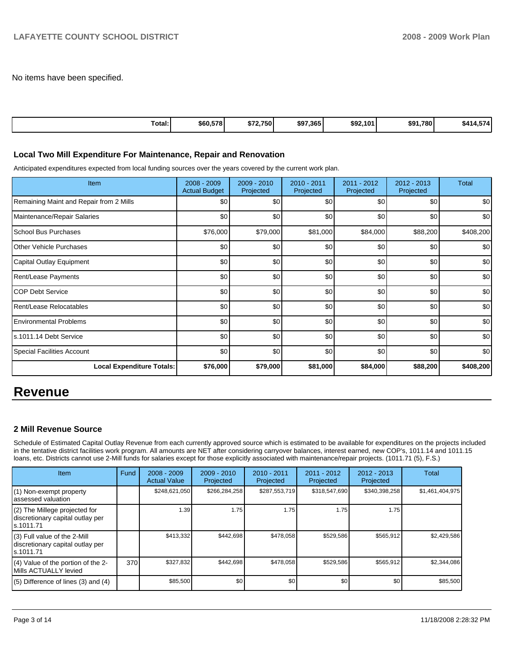No items have been specified.

| Total: | \$60,578 | \$72,750 | \$97,365 | \$92,101 | ا780.<br>\$91 | ---<br>\$414<br>ιл.<br>$+$ |
|--------|----------|----------|----------|----------|---------------|----------------------------|
|--------|----------|----------|----------|----------|---------------|----------------------------|

#### **Local Two Mill Expenditure For Maintenance, Repair and Renovation**

Anticipated expenditures expected from local funding sources over the years covered by the current work plan.

| <b>Item</b>                             | 2008 - 2009<br><b>Actual Budget</b> | $2009 - 2010$<br>Projected | 2010 - 2011<br>Projected | 2011 - 2012<br>Projected | $2012 - 2013$<br>Projected | <b>Total</b> |
|-----------------------------------------|-------------------------------------|----------------------------|--------------------------|--------------------------|----------------------------|--------------|
| Remaining Maint and Repair from 2 Mills | \$0                                 | \$0                        | \$0                      | \$0                      | \$0                        | \$0          |
| Maintenance/Repair Salaries             | \$0                                 | \$0                        | \$0                      | \$0                      | \$0                        | \$0          |
| <b>School Bus Purchases</b>             | \$76,000                            | \$79,000                   | \$81,000                 | \$84,000                 | \$88,200                   | \$408,200    |
| <b>Other Vehicle Purchases</b>          | \$0                                 | \$0                        | \$0                      | \$0                      | \$0                        | \$0          |
| Capital Outlay Equipment                | \$0                                 | \$0                        | \$0                      | \$0                      | \$0                        | \$0          |
| <b>Rent/Lease Payments</b>              | \$0                                 | \$0                        | \$0                      | \$0                      | \$0                        | \$0          |
| <b>COP Debt Service</b>                 | \$0                                 | \$0                        | \$0                      | \$0                      | \$0                        | \$0          |
| Rent/Lease Relocatables                 | \$0                                 | \$0                        | \$0                      | \$0                      | \$0                        | \$0          |
| <b>Environmental Problems</b>           | \$0                                 | \$0                        | \$0                      | \$0                      | \$0                        | \$0          |
| ls.1011.14 Debt Service                 | \$0                                 | \$0                        | \$0                      | \$0                      | \$0                        | \$0          |
| <b>Special Facilities Account</b>       | \$0                                 | \$0                        | \$0                      | \$0                      | \$0                        | \$0          |
| <b>Local Expenditure Totals:</b>        | \$76,000                            | \$79,000                   | \$81,000                 | \$84,000                 | \$88,200                   | \$408,200    |

## **Revenue**

## **2 Mill Revenue Source**

Schedule of Estimated Capital Outlay Revenue from each currently approved source which is estimated to be available for expenditures on the projects included in the tentative district facilities work program. All amounts are NET after considering carryover balances, interest earned, new COP's, 1011.14 and 1011.15 loans, etc. Districts cannot use 2-Mill funds for salaries except for those explicitly associated with maintenance/repair projects. (1011.71 (5), F.S.)

| <b>Item</b>                                                                     | Fund | $2008 - 2009$<br><b>Actual Value</b> | $2009 - 2010$<br>Projected | $2010 - 2011$<br>Projected | 2011 - 2012<br>Projected | $2012 - 2013$<br>Projected | Total           |
|---------------------------------------------------------------------------------|------|--------------------------------------|----------------------------|----------------------------|--------------------------|----------------------------|-----------------|
| (1) Non-exempt property<br>lassessed valuation                                  |      | \$248,621,050                        | \$266,284,258              | \$287,553,719              | \$318,547,690            | \$340,398,258              | \$1,461,404,975 |
| (2) The Millege projected for<br>discretionary capital outlay per<br>ls.1011.71 |      | 1.39                                 | 1.75                       | 1.75                       | 1.75                     | 1.75                       |                 |
| (3) Full value of the 2-Mill<br>discretionary capital outlay per<br>ls.1011.71  |      | \$413,332                            | \$442,698                  | \$478,058                  | \$529,586                | \$565,912                  | \$2,429,586     |
| (4) Value of the portion of the 2-<br>Mills ACTUALLY levied                     | 370  | \$327,832                            | \$442,698                  | \$478,058                  | \$529,586                | \$565,912                  | \$2,344,086     |
| $(5)$ Difference of lines (3) and (4)                                           |      | \$85,500                             | \$0                        | \$0                        | \$0                      | \$0                        | \$85,500        |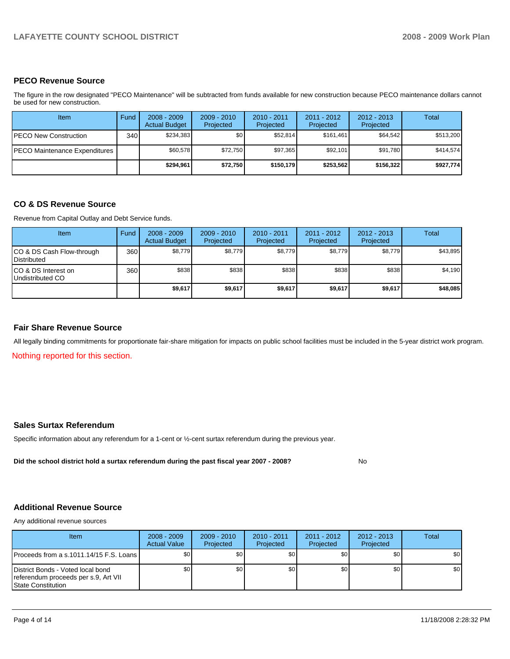## **PECO Revenue Source**

The figure in the row designated "PECO Maintenance" will be subtracted from funds available for new construction because PECO maintenance dollars cannot be used for new construction.

| Item                          | Fund | $2008 - 2009$<br><b>Actual Budget</b> | $2009 - 2010$<br>Projected | $2010 - 2011$<br>Projected | $2011 - 2012$<br>Projected | $2012 - 2013$<br>Projected | Total     |
|-------------------------------|------|---------------------------------------|----------------------------|----------------------------|----------------------------|----------------------------|-----------|
| <b>PECO New Construction</b>  | 340  | \$234.383                             | \$0 <sub>1</sub>           | \$52.814                   | \$161.461                  | \$64,542                   | \$513,200 |
| PECO Maintenance Expenditures |      | \$60.578                              | \$72.750                   | \$97.365                   | \$92,101                   | \$91.780                   | \$414.574 |
|                               |      | \$294,961                             | \$72,750                   | \$150.179                  | \$253.562                  | \$156,322                  | \$927,774 |

## **CO & DS Revenue Source**

Revenue from Capital Outlay and Debt Service funds.

| Item                                               | Fund             | $2008 - 2009$<br><b>Actual Budget</b> | $2009 - 2010$<br>Projected | $2010 - 2011$<br>Projected | 2011 - 2012<br>Projected | $2012 - 2013$<br>Projected | Total    |
|----------------------------------------------------|------------------|---------------------------------------|----------------------------|----------------------------|--------------------------|----------------------------|----------|
| ICO & DS Cash Flow-through<br><b>I</b> Distributed | 360 <sub>1</sub> | \$8,779                               | \$8,779                    | \$8,779                    | \$8,779                  | \$8,779                    | \$43,895 |
| ICO & DS Interest on<br>Undistributed CO           | 360              | \$838                                 | \$838                      | \$838                      | \$838                    | \$838                      | \$4,190  |
|                                                    |                  | \$9,617                               | \$9,617                    | \$9,617                    | \$9,617                  | \$9,617                    | \$48,085 |

## **Fair Share Revenue Source**

All legally binding commitments for proportionate fair-share mitigation for impacts on public school facilities must be included in the 5-year district work program.

Nothing reported for this section.

## **Sales Surtax Referendum**

Specific information about any referendum for a 1-cent or ½-cent surtax referendum during the previous year.

**Did the school district hold a surtax referendum during the past fiscal year 2007 - 2008?** No

## **Additional Revenue Source**

Any additional revenue sources

| <b>Item</b>                                                                                            | $2008 - 2009$<br><b>Actual Value</b> | $2009 - 2010$<br>Projected | $2010 - 2011$<br>Projected | $2011 - 2012$<br>Projected | $2012 - 2013$<br>Projected | Total            |
|--------------------------------------------------------------------------------------------------------|--------------------------------------|----------------------------|----------------------------|----------------------------|----------------------------|------------------|
| <b>IProceeds from a s.1011.14/15 F.S. Loans I</b>                                                      | \$0 <sub>1</sub>                     | \$0                        | \$0                        | \$0                        | \$0                        | \$0 <sub>1</sub> |
| District Bonds - Voted local bond<br>referendum proceeds per s.9, Art VII<br><b>State Constitution</b> | \$0 <sub>1</sub>                     | \$0                        | \$0                        | \$0                        | \$0                        | \$0              |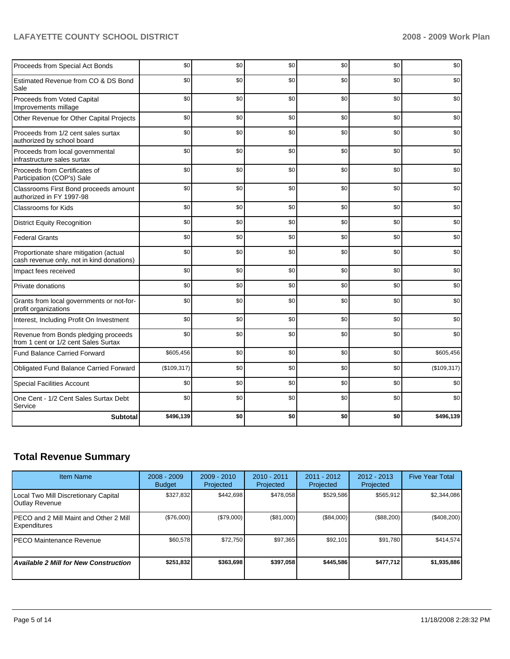## LAFAYETTE COUNTY SCHOOL DISTRICT **2008 - 2009 Work Plan**

| Proceeds from Special Act Bonds                                                     | \$0         | \$0 | \$0 | \$0 | \$0 | \$0         |
|-------------------------------------------------------------------------------------|-------------|-----|-----|-----|-----|-------------|
| Estimated Revenue from CO & DS Bond<br>Sale                                         | \$0         | \$0 | \$0 | \$0 | \$0 | \$0         |
| Proceeds from Voted Capital<br>Improvements millage                                 | \$0         | \$0 | \$0 | \$0 | \$0 | \$0         |
| Other Revenue for Other Capital Projects                                            | \$0         | \$0 | \$0 | \$0 | \$0 | \$0         |
| Proceeds from 1/2 cent sales surtax<br>authorized by school board                   | \$0         | \$0 | \$0 | \$0 | \$0 | \$0         |
| Proceeds from local governmental<br>infrastructure sales surtax                     | \$0         | \$0 | \$0 | \$0 | \$0 | \$0         |
| Proceeds from Certificates of<br>Participation (COP's) Sale                         | \$0         | \$0 | \$0 | \$0 | \$0 | \$0         |
| Classrooms First Bond proceeds amount<br>authorized in FY 1997-98                   | \$0         | \$0 | \$0 | \$0 | \$0 | \$0         |
| <b>Classrooms for Kids</b>                                                          | \$0         | \$0 | \$0 | \$0 | \$0 | \$0         |
| <b>District Equity Recognition</b>                                                  | \$0         | \$0 | \$0 | \$0 | \$0 | \$0         |
| <b>Federal Grants</b>                                                               | \$0         | \$0 | \$0 | \$0 | \$0 | \$0         |
| Proportionate share mitigation (actual<br>cash revenue only, not in kind donations) | \$0         | \$0 | \$0 | \$0 | \$0 | \$0         |
| Impact fees received                                                                | \$0         | \$0 | \$0 | \$0 | \$0 | \$0         |
| Private donations                                                                   | \$0         | \$0 | \$0 | \$0 | \$0 | \$0         |
| Grants from local governments or not-for-<br>profit organizations                   | \$0         | \$0 | \$0 | \$0 | \$0 | \$0         |
| Interest, Including Profit On Investment                                            | \$0         | \$0 | \$0 | \$0 | \$0 | \$0         |
| Revenue from Bonds pledging proceeds<br>from 1 cent or 1/2 cent Sales Surtax        | \$0         | \$0 | \$0 | \$0 | \$0 | \$0         |
| <b>Fund Balance Carried Forward</b>                                                 | \$605,456   | \$0 | \$0 | \$0 | \$0 | \$605,456   |
| Obligated Fund Balance Carried Forward                                              | (\$109,317) | \$0 | \$0 | \$0 | \$0 | (\$109,317) |
| <b>Special Facilities Account</b>                                                   | \$0         | \$0 | \$0 | \$0 | \$0 | \$0         |
| One Cent - 1/2 Cent Sales Surtax Debt<br>Service                                    | \$0         | \$0 | \$0 | \$0 | \$0 | \$0         |
| <b>Subtotal</b>                                                                     | \$496,139   | \$0 | \$0 | \$0 | \$0 | \$496,139   |

## **Total Revenue Summary**

| <b>Item Name</b>                                               | $2008 - 2009$<br><b>Budget</b> | $2009 - 2010$<br>Projected | $2010 - 2011$<br>Projected | $2011 - 2012$<br>Projected | $2012 - 2013$<br>Projected | <b>Five Year Total</b> |
|----------------------------------------------------------------|--------------------------------|----------------------------|----------------------------|----------------------------|----------------------------|------------------------|
| Local Two Mill Discretionary Capital<br>Outlay Revenue         | \$327,832                      | \$442.698                  | \$478,058                  | \$529,586                  | \$565,912                  | \$2,344,086            |
| IPECO and 2 Mill Maint and Other 2 Mill<br><b>Expenditures</b> | (\$76,000)                     | (\$79,000)                 | (\$81,000)                 | (\$84,000)                 | (\$88,200)                 | $(\$408,200)$          |
| <b>IPECO Maintenance Revenue</b>                               | \$60,578                       | \$72,750                   | \$97,365                   | \$92,101                   | \$91,780                   | \$414.574              |
| Available 2 Mill for New Construction                          | \$251,832                      | \$363.698                  | \$397.058                  | \$445.586                  | \$477,712                  | \$1,935,886            |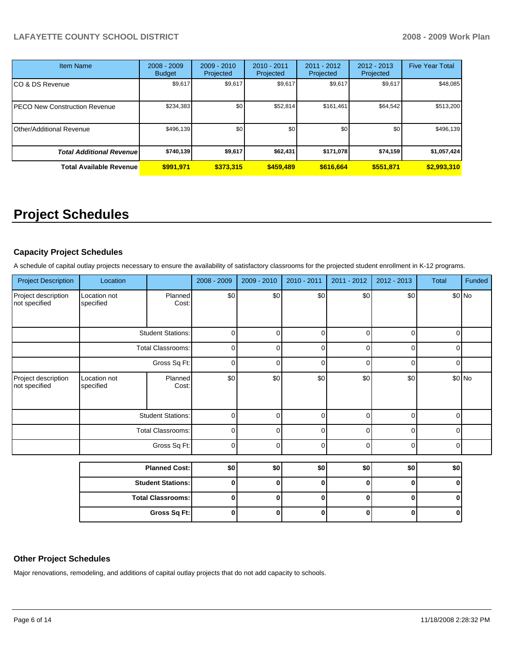## **LAFAYETTE COUNTY SCHOOL DISTRICT 2008 - 2009 Work Plan**

| <b>Item Name</b>                     | $2008 - 2009$<br><b>Budget</b> | $2009 - 2010$<br>Projected | $2010 - 2011$<br>Projected | $2011 - 2012$<br>Projected | $2012 - 2013$<br>Projected | <b>Five Year Total</b> |
|--------------------------------------|--------------------------------|----------------------------|----------------------------|----------------------------|----------------------------|------------------------|
| CO & DS Revenue                      | \$9,617                        | \$9,617                    | \$9,617                    | \$9,617                    | \$9,617                    | \$48,085               |
| <b>PECO New Construction Revenue</b> | \$234,383                      | \$0                        | \$52,814                   | \$161,461                  | \$64,542                   | \$513,200              |
| <b>Other/Additional Revenue</b>      | \$496,139                      | \$0                        | \$0                        | \$0                        | \$0                        | \$496,139              |
| <b>Total Additional Revenuel</b>     | \$740,139                      | \$9,617                    | \$62,431                   | \$171,078                  | \$74,159                   | \$1,057,424            |
| <b>Total Available Revenue</b>       | \$991.971                      | \$373,315                  | \$459,489                  | \$616,664                  | \$551,871                  | \$2,993,310            |

# **Project Schedules**

## **Capacity Project Schedules**

A schedule of capital outlay projects necessary to ensure the availability of satisfactory classrooms for the projected student enrollment in K-12 programs.

| <b>Project Description</b>           | Location                  |                          | 2008 - 2009 | 2009 - 2010 | 2010 - 2011 | 2011 - 2012 | 2012 - 2013 | Total       | Funded |
|--------------------------------------|---------------------------|--------------------------|-------------|-------------|-------------|-------------|-------------|-------------|--------|
| Project description<br>not specified | Location not<br>specified | Planned<br>Cost:         | \$0         | \$0         | \$0         | \$0         | \$0         |             | \$0 No |
|                                      |                           | <b>Student Stations:</b> | 0           | $\Omega$    | $\Omega$    | $\Omega$    | $\mathbf 0$ | 0           |        |
|                                      | <b>Total Classrooms:</b>  |                          | 0           | 0           | 0           | 0           | $\mathbf 0$ | $\mathbf 0$ |        |
|                                      | Gross Sq Ft:              |                          | 0           | $\Omega$    | $\Omega$    | $\mathbf 0$ | 0           | $\mathbf 0$ |        |
| Project description<br>not specified | Location not<br>specified | Planned<br>Cost:         | \$0         | \$0         | \$0         | \$0         | \$0         |             | \$0 No |
|                                      |                           | <b>Student Stations:</b> | 0           | $\Omega$    | $\Omega$    | $\mathbf 0$ | $\mathbf 0$ | 0           |        |
|                                      |                           | Total Classrooms:        | 0           | $\Omega$    | $\Omega$    | $\Omega$    | $\Omega$    | 0           |        |
|                                      |                           | Gross Sq Ft:             | $\mathbf 0$ | 0           | $\Omega$    | 0           | $\Omega$    | 0           |        |
|                                      |                           | <b>Planned Cost:</b>     | \$0         | \$0         | \$0         | \$0         | \$0         | \$0         |        |
|                                      |                           | <b>Student Stations:</b> | 0           | 0           | 0           | 0           | $\bf{0}$    | 0           |        |
|                                      |                           | <b>Total Classrooms:</b> | 0           | 0           | $\bf{0}$    | $\mathbf 0$ | $\mathbf 0$ | 0           |        |
|                                      |                           | Gross Sq Ft:             | 0           | 0           | $\bf{0}$    | $\mathbf 0$ | $\mathbf 0$ | 0           |        |

## **Other Project Schedules**

Major renovations, remodeling, and additions of capital outlay projects that do not add capacity to schools.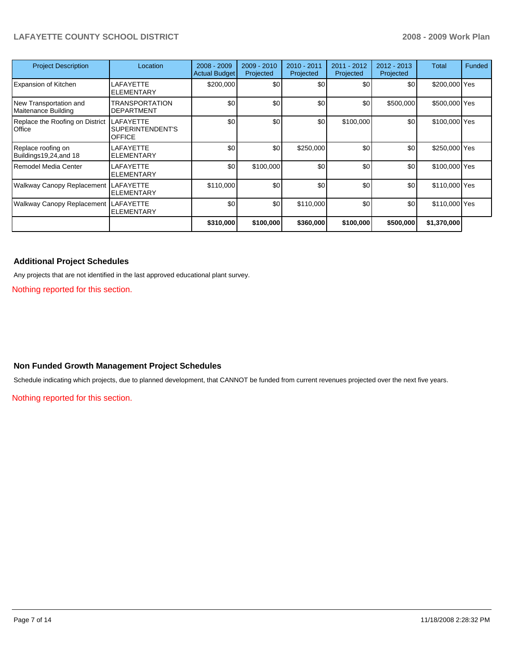## **LAFAYETTE COUNTY SCHOOL DISTRICT 2008 - 2009 Work Plan**

| <b>Project Description</b>                    | Location                                              | $2008 - 2009$<br><b>Actual Budget</b> | $2009 - 2010$<br>Projected | 2010 - 2011<br>Projected | 2011 - 2012<br>Projected | $2012 - 2013$<br>Projected | Total         | Funded |
|-----------------------------------------------|-------------------------------------------------------|---------------------------------------|----------------------------|--------------------------|--------------------------|----------------------------|---------------|--------|
| <b>Expansion of Kitchen</b>                   | <b>LAFAYETTE</b><br><b>ELEMENTARY</b>                 | \$200,000                             | \$0                        | \$0                      | \$0                      | \$0                        | \$200,000 Yes |        |
| New Transportation and<br>Maitenance Building | <b>TRANSPORTATION</b><br><b>DEPARTMENT</b>            | \$0                                   | \$0                        | \$0                      | \$0                      | \$500,000                  | \$500,000 Yes |        |
| Replace the Roofing on District<br>Office     | <b>LAFAYETTE</b><br>SUPERINTENDENT'S<br><b>OFFICE</b> | \$0                                   | \$0                        | \$0                      | \$100,000                | \$0                        | \$100,000 Yes |        |
| Replace roofing on<br>Buildings19,24, and 18  | LAFAYETTE<br><b>ELEMENTARY</b>                        | \$0                                   | \$0                        | \$250,000                | \$0                      | \$0                        | \$250,000 Yes |        |
| Remodel Media Center                          | LAFAYETTE<br><b>ELEMENTARY</b>                        | \$0                                   | \$100,000                  | \$0                      | \$0                      | \$0                        | \$100,000 Yes |        |
| Walkway Canopy Replacement LAFAYETTE          | <b>ELEMENTARY</b>                                     | \$110,000                             | \$0                        | \$0                      | \$0                      | \$0                        | \$110,000 Yes |        |
| Walkway Canopy Replacement LAFAYETTE          | <b>ELEMENTARY</b>                                     | \$0                                   | \$0                        | \$110,000                | \$0                      | \$0                        | \$110,000 Yes |        |
|                                               |                                                       | \$310,000                             | \$100,000                  | \$360,000                | \$100,000                | \$500,000                  | \$1,370,000   |        |

## **Additional Project Schedules**

Any projects that are not identified in the last approved educational plant survey.

Nothing reported for this section.

## **Non Funded Growth Management Project Schedules**

Schedule indicating which projects, due to planned development, that CANNOT be funded from current revenues projected over the next five years.

Nothing reported for this section.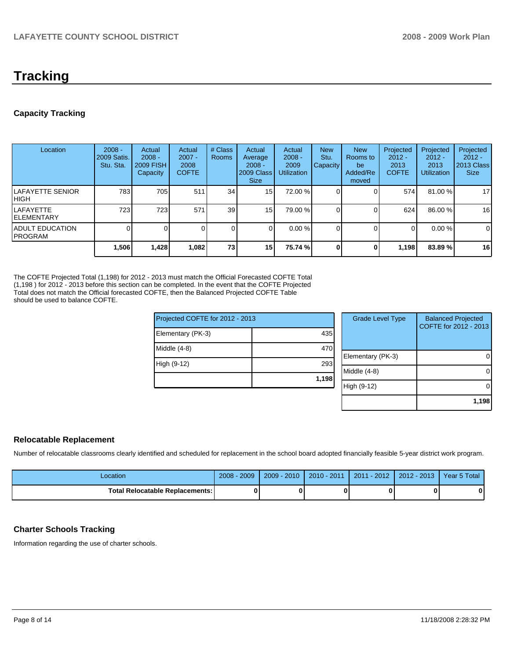# **Tracking**

## **Capacity Tracking**

| Location                                   | $2008 -$<br>2009 Satis.<br>Stu. Sta. | Actual<br>$2008 -$<br>2009 FISH<br>Capacity | Actual<br>$2007 -$<br>2008<br><b>COFTE</b> | # Class<br>Rooms | Actual<br>Average<br>$2008 -$<br>2009 Class<br><b>Size</b> | Actual<br>$2008 -$<br>2009<br><b>Utilization</b> | <b>New</b><br>Stu.<br><b>Capacity</b> | <b>New</b><br>Rooms to<br>be<br>Added/Re<br>moved | Projected<br>$2012 -$<br>2013<br><b>COFTE</b> | Projected<br>$2012 -$<br>2013<br>Utilization | Projected<br>$2012 -$<br>2013 Class<br><b>Size</b> |
|--------------------------------------------|--------------------------------------|---------------------------------------------|--------------------------------------------|------------------|------------------------------------------------------------|--------------------------------------------------|---------------------------------------|---------------------------------------------------|-----------------------------------------------|----------------------------------------------|----------------------------------------------------|
| ILAFAYETTE SENIOR<br>IHIGH                 | 783                                  | 705                                         | 511                                        | 34 <sub>l</sub>  | 15                                                         | 72.00 %                                          |                                       |                                                   | 574                                           | 81.00 %                                      | 17                                                 |
| ILAFAYETTE<br><b>IELEMENTARY</b>           | 723                                  | 723                                         | 571                                        | 39 <sub>l</sub>  | 15                                                         | 79.00 %                                          |                                       |                                                   | 624                                           | 86.00 %                                      | 16                                                 |
| <b>IADULT EDUCATION</b><br><b>IPROGRAM</b> |                                      |                                             |                                            | 0                |                                                            | 0.00%                                            |                                       |                                                   | 0                                             | $0.00 \%$                                    | 0                                                  |
|                                            | 1,506                                | 1,428                                       | 1,082                                      | 73               | 15                                                         | 75.74 %                                          |                                       | $\Omega$                                          | 1,198                                         | 83.89%                                       | 16                                                 |

The COFTE Projected Total (1,198) for 2012 - 2013 must match the Official Forecasted COFTE Total (1,198 ) for 2012 - 2013 before this section can be completed. In the event that the COFTE Projected Total does not match the Official forecasted COFTE, then the Balanced Projected COFTE Table should be used to balance COFTE.

| Projected COFTE for 2012 - 2013 |       | <b>Grade Level Type</b> | <b>Balanced Projected</b><br>COFTE for 2012 - 2013 |  |
|---------------------------------|-------|-------------------------|----------------------------------------------------|--|
| 435<br>Elementary (PK-3)        |       |                         |                                                    |  |
| Middle (4-8)<br>470             |       |                         |                                                    |  |
|                                 |       | Elementary (PK-3)       | $\overline{0}$                                     |  |
| High (9-12)                     | 293   | Middle (4-8)            | $\overline{0}$                                     |  |
|                                 | 1,198 |                         |                                                    |  |
|                                 |       | High (9-12)             | $\overline{0}$                                     |  |
|                                 |       |                         | 1,198                                              |  |

## **Relocatable Replacement**

Number of relocatable classrooms clearly identified and scheduled for replacement in the school board adopted financially feasible 5-year district work program.

| Location                                 | 2009<br>2008 | $-2010$<br>$2009 -$ | $2010 - 2011$ | $-2012$<br>2011 | $2012 - 2013$ | Year 5 Total |
|------------------------------------------|--------------|---------------------|---------------|-----------------|---------------|--------------|
| <b>Total Relocatable Replacements: I</b> |              |                     |               |                 |               |              |

## **Charter Schools Tracking**

Information regarding the use of charter schools.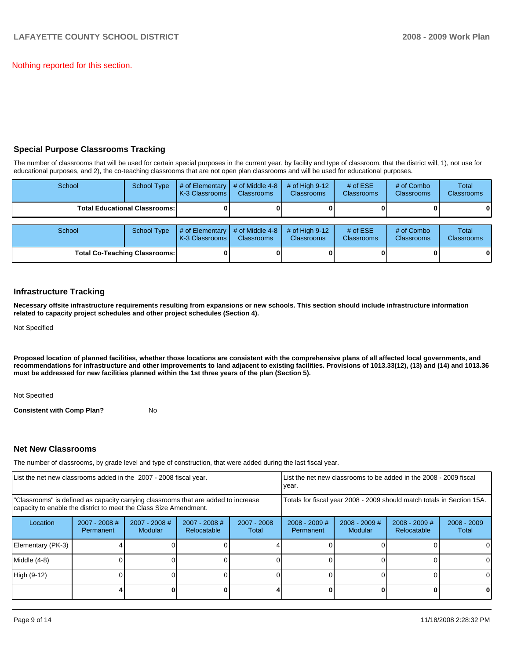Nothing reported for this section.

## **Special Purpose Classrooms Tracking**

The number of classrooms that will be used for certain special purposes in the current year, by facility and type of classroom, that the district will, 1), not use for educational purposes, and 2), the co-teaching classrooms that are not open plan classrooms and will be used for educational purposes.

| School | <b>School Type</b>                   | # of Elementary<br>K-3 Classrooms | # of Middle 4-8<br><b>Classrooms</b> | $#$ of High 9-12<br><b>Classrooms</b> | # of $ESE$<br><b>Classrooms</b> | # of Combo<br><b>Classrooms</b> | <b>Total</b><br><b>Classrooms</b> |
|--------|--------------------------------------|-----------------------------------|--------------------------------------|---------------------------------------|---------------------------------|---------------------------------|-----------------------------------|
|        | <b>Total Educational Classrooms:</b> |                                   |                                      |                                       |                                 |                                 | 01                                |
|        |                                      |                                   |                                      |                                       |                                 |                                 |                                   |
| School | <b>School Type</b>                   | # of Elementary<br>K-3 Classrooms | # of Middle 4-8<br><b>Classrooms</b> | $#$ of High 9-12<br><b>Classrooms</b> | # of $ESE$<br>Classrooms        | # of Combo<br><b>Classrooms</b> | Total<br><b>Classrooms</b>        |
|        | <b>Total Co-Teaching Classrooms:</b> |                                   |                                      |                                       |                                 |                                 | 01                                |

## **Infrastructure Tracking**

**Necessary offsite infrastructure requirements resulting from expansions or new schools. This section should include infrastructure information related to capacity project schedules and other project schedules (Section 4).** 

Not Specified

**Proposed location of planned facilities, whether those locations are consistent with the comprehensive plans of all affected local governments, and recommendations for infrastructure and other improvements to land adjacent to existing facilities. Provisions of 1013.33(12), (13) and (14) and 1013.36 must be addressed for new facilities planned within the 1st three years of the plan (Section 5).** 

Not Specified

**Consistent with Comp Plan?** No

## **Net New Classrooms**

The number of classrooms, by grade level and type of construction, that were added during the last fiscal year.

| List the net new classrooms added in the 2007 - 2008 fiscal year.                                                                                       |                                     |                                 |                                | List the net new classrooms to be added in the 2008 - 2009 fiscal<br>year. |                              |                            |                                |                        |
|---------------------------------------------------------------------------------------------------------------------------------------------------------|-------------------------------------|---------------------------------|--------------------------------|----------------------------------------------------------------------------|------------------------------|----------------------------|--------------------------------|------------------------|
| "Classrooms" is defined as capacity carrying classrooms that are added to increase<br>capacity to enable the district to meet the Class Size Amendment. |                                     |                                 |                                | Totals for fiscal year 2008 - 2009 should match totals in Section 15A.     |                              |                            |                                |                        |
| Location                                                                                                                                                | $2007 - 2008$ #<br><b>Permanent</b> | 2007 - 2008 #<br><b>Modular</b> | $2007 - 2008$ #<br>Relocatable | 2007 - 2008<br>Total                                                       | $2008 - 2009$ #<br>Permanent | $2008 - 2009$ #<br>Modular | $2008 - 2009$ #<br>Relocatable | $2008 - 2009$<br>Total |
| Elementary (PK-3)                                                                                                                                       |                                     |                                 |                                |                                                                            |                              |                            |                                | 0                      |
| Middle (4-8)                                                                                                                                            |                                     |                                 |                                |                                                                            |                              |                            |                                | 0                      |
| High (9-12)                                                                                                                                             |                                     |                                 |                                |                                                                            |                              |                            |                                | $\Omega$               |
|                                                                                                                                                         |                                     |                                 |                                |                                                                            |                              |                            |                                | 0                      |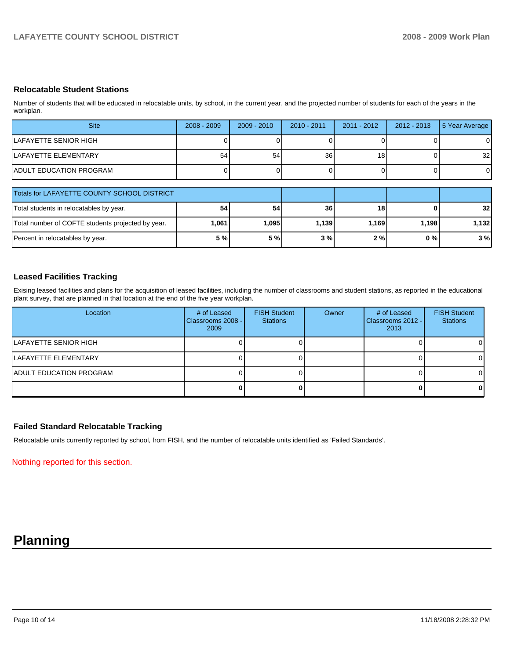## **Relocatable Student Stations**

Number of students that will be educated in relocatable units, by school, in the current year, and the projected number of students for each of the years in the workplan.

| <b>Site</b>                                       | $2008 - 2009$ | $2009 - 2010$ | $2010 - 2011$   | $2011 - 2012$ | $2012 - 2013$ | 5 Year Average  |
|---------------------------------------------------|---------------|---------------|-----------------|---------------|---------------|-----------------|
| ILAFAYETTE SENIOR HIGH                            |               |               |                 |               |               |                 |
| ILAFAYETTE ELEMENTARY                             | 54            | 54            | 36 <sub>1</sub> | 18            |               | 32 <sub>1</sub> |
| <b>IADULT EDUCATION PROGRAM</b>                   |               |               |                 |               |               | $\overline{0}$  |
|                                                   |               |               |                 |               |               |                 |
| Totals for LAFAYETTE COUNTY SCHOOL DISTRICT       |               |               |                 |               |               |                 |
| Total students in relocatables by year.           | 54            | 54            | 36              | 18            |               | 32 <sub>l</sub> |
| Total number of COFTE students projected by year. | 1,061         | 1,095         | 1,139           | 1,169         | 1,198         | 1,132           |
| Percent in relocatables by year.                  | 5 %           | 5 %           | 3%              | 2%            | $0\%$         | 3%              |

## **Leased Facilities Tracking**

Exising leased facilities and plans for the acquisition of leased facilities, including the number of classrooms and student stations, as reported in the educational plant survey, that are planned in that location at the end of the five year workplan.

| Location                        | # of Leased<br>Classrooms 2008 - I<br>2009 | <b>FISH Student</b><br><b>Stations</b> | Owner | # of Leased<br>Classrooms 2012 - I<br>2013 | <b>FISH Student</b><br><b>Stations</b> |
|---------------------------------|--------------------------------------------|----------------------------------------|-------|--------------------------------------------|----------------------------------------|
| ILAFAYETTE SENIOR HIGH          |                                            |                                        |       |                                            | ΟI                                     |
| ILAFAYETTE ELEMENTARY           |                                            |                                        |       |                                            | ΩI                                     |
| <b>IADULT EDUCATION PROGRAM</b> |                                            |                                        |       |                                            | 01                                     |
|                                 |                                            |                                        |       |                                            | O I                                    |

## **Failed Standard Relocatable Tracking**

Relocatable units currently reported by school, from FISH, and the number of relocatable units identified as 'Failed Standards'.

Nothing reported for this section.

## **Planning**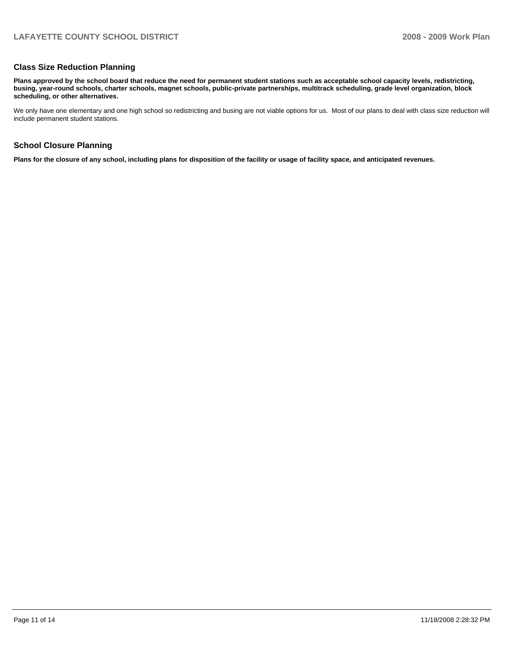## **Class Size Reduction Planning**

**Plans approved by the school board that reduce the need for permanent student stations such as acceptable school capacity levels, redistricting, busing, year-round schools, charter schools, magnet schools, public-private partnerships, multitrack scheduling, grade level organization, block scheduling, or other alternatives.** 

We only have one elementary and one high school so redistricting and busing are not viable options for us. Most of our plans to deal with class size reduction will include permanent student stations.

## **School Closure Planning**

**Plans for the closure of any school, including plans for disposition of the facility or usage of facility space, and anticipated revenues.**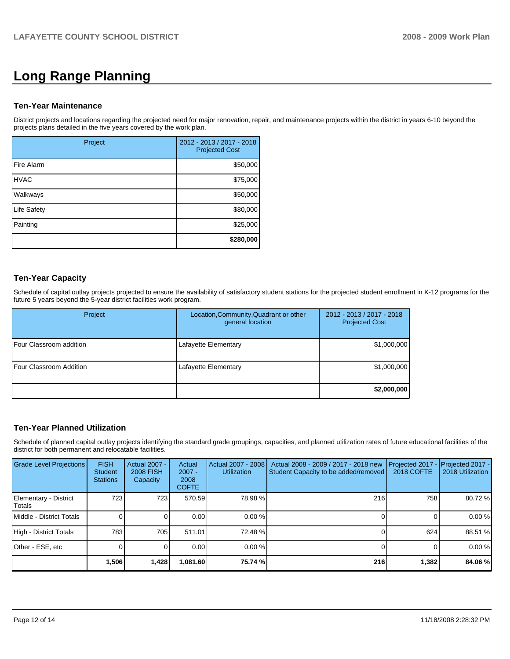# **Long Range Planning**

## **Ten-Year Maintenance**

District projects and locations regarding the projected need for major renovation, repair, and maintenance projects within the district in years 6-10 beyond the projects plans detailed in the five years covered by the work plan.

| Project     | 2012 - 2013 / 2017 - 2018<br><b>Projected Cost</b> |
|-------------|----------------------------------------------------|
| Fire Alarm  | \$50,000                                           |
| <b>HVAC</b> | \$75,000                                           |
| Walkways    | \$50,000                                           |
| Life Safety | \$80,000                                           |
| Painting    | \$25,000                                           |
|             | \$280,000                                          |

## **Ten-Year Capacity**

Schedule of capital outlay projects projected to ensure the availability of satisfactory student stations for the projected student enrollment in K-12 programs for the future 5 years beyond the 5-year district facilities work program.

| Project                        | Location, Community, Quadrant or other<br>general location | 2012 - 2013 / 2017 - 2018<br><b>Projected Cost</b> |
|--------------------------------|------------------------------------------------------------|----------------------------------------------------|
| <b>Four Classroom addition</b> | Lafayette Elementary                                       | \$1,000,000                                        |
| <b>Four Classroom Addition</b> | Lafayette Elementary                                       | \$1,000,000                                        |
|                                |                                                            | \$2,000,000                                        |

## **Ten-Year Planned Utilization**

Schedule of planned capital outlay projects identifying the standard grade groupings, capacities, and planned utilization rates of future educational facilities of the district for both permanent and relocatable facilities.

| Grade Level Projections         | <b>FISH</b><br>Student<br><b>Stations</b> | <b>Actual 2007 -</b><br><b>2008 FISH</b><br>Capacity | Actual<br>$2007 -$<br>2008<br><b>COFTE</b> | Actual 2007 - 2008<br><b>Utilization</b> | Actual 2008 - 2009 / 2017 - 2018 new<br>Student Capacity to be added/removed | Projected 2017<br><b>2018 COFTE</b> | Projected 2017 -<br>2018 Utilization |
|---------------------------------|-------------------------------------------|------------------------------------------------------|--------------------------------------------|------------------------------------------|------------------------------------------------------------------------------|-------------------------------------|--------------------------------------|
| Elementary - District<br>Totals | 723                                       | 7231                                                 | 570.59                                     | 78.98 %                                  | 216                                                                          | 758                                 | 80.72 %                              |
| Middle - District Totals        |                                           |                                                      | 0.00                                       | 0.00%                                    |                                                                              |                                     | 0.00 %                               |
| High - District Totals          | 783                                       | 705                                                  | 511.01                                     | 72.48 %                                  |                                                                              | 624                                 | 88.51 %                              |
| Other - ESE, etc                |                                           |                                                      | 0.00                                       | 0.00%                                    |                                                                              |                                     | 0.00 %                               |
|                                 | 1,506                                     | 1,428                                                | 081.60,⊦                                   | 75.74 %                                  | 216                                                                          | 1,382                               | 84.06 %                              |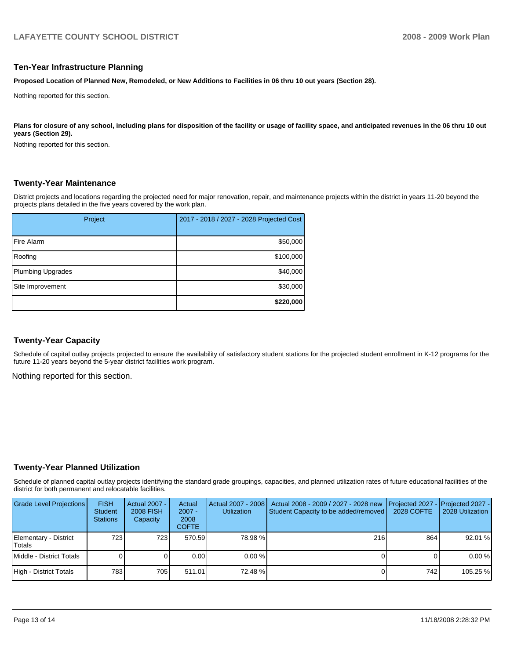## **Ten-Year Infrastructure Planning**

**Proposed Location of Planned New, Remodeled, or New Additions to Facilities in 06 thru 10 out years (Section 28).** 

Nothing reported for this section.

Plans for closure of any school, including plans for disposition of the facility or usage of facility space, and anticipated revenues in the 06 thru 10 out **years (Section 29).** 

Nothing reported for this section.

## **Twenty-Year Maintenance**

District projects and locations regarding the projected need for major renovation, repair, and maintenance projects within the district in years 11-20 beyond the projects plans detailed in the five years covered by the work plan.

| Project           | 2017 - 2018 / 2027 - 2028 Projected Cost |
|-------------------|------------------------------------------|
| Fire Alarm        | \$50,000                                 |
| Roofing           | \$100,000                                |
| Plumbing Upgrades | \$40,000                                 |
| Site Improvement  | \$30,000                                 |
|                   | \$220,000                                |

## **Twenty-Year Capacity**

Schedule of capital outlay projects projected to ensure the availability of satisfactory student stations for the projected student enrollment in K-12 programs for the future 11-20 years beyond the 5-year district facilities work program.

Nothing reported for this section.

#### **Twenty-Year Planned Utilization**

Schedule of planned capital outlay projects identifying the standard grade groupings, capacities, and planned utilization rates of future educational facilities of the district for both permanent and relocatable facilities.

| <b>Grade Level Projections</b>  | <b>FISH</b><br><b>Student</b><br><b>Stations</b> | Actual 2007 -<br>2008 FISH<br>Capacity | Actual<br>$2007 -$<br>2008<br><b>COFTE</b> | <b>Utilization</b> | Actual 2007 - 2008   Actual 2008 - 2009 / 2027 - 2028 new<br>Student Capacity to be added/removed | 2028 COFTE | <b>I</b> Projected 2027 - <b>I</b> Projected 2027 -<br>2028 Utilization |
|---------------------------------|--------------------------------------------------|----------------------------------------|--------------------------------------------|--------------------|---------------------------------------------------------------------------------------------------|------------|-------------------------------------------------------------------------|
| Elementary - District<br>Totals | 723 I                                            | 723 I                                  | 570.59                                     | 78.98%             | 216                                                                                               | 864        | 92.01 %                                                                 |
| Middle - District Totals        |                                                  |                                        | 0.00                                       | $0.00\%$           |                                                                                                   |            | 0.00%                                                                   |
| High - District Totals          | 7831                                             | 7051                                   | 511.01                                     | 72.48 %            |                                                                                                   | 742        | 105.25 %                                                                |